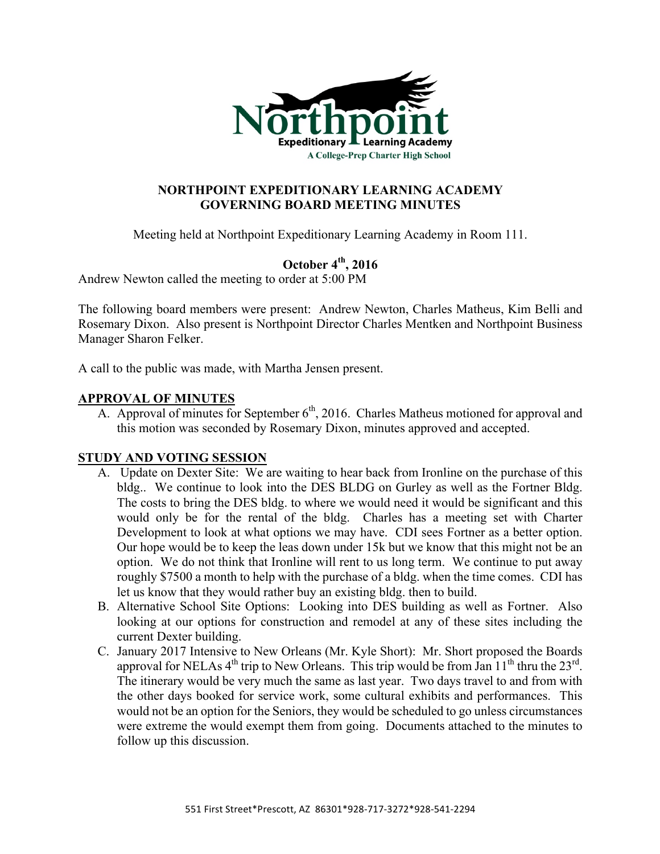

# **NORTHPOINT EXPEDITIONARY LEARNING ACADEMY GOVERNING BOARD MEETING MINUTES**

Meeting held at Northpoint Expeditionary Learning Academy in Room 111.

# **October 4th, 2016**

Andrew Newton called the meeting to order at 5:00 PM

The following board members were present: Andrew Newton, Charles Matheus, Kim Belli and Rosemary Dixon. Also present is Northpoint Director Charles Mentken and Northpoint Business Manager Sharon Felker.

A call to the public was made, with Martha Jensen present.

## **APPROVAL OF MINUTES**

A. Approval of minutes for September  $6<sup>th</sup>$ , 2016. Charles Matheus motioned for approval and this motion was seconded by Rosemary Dixon, minutes approved and accepted.

## **STUDY AND VOTING SESSION**

- A. Update on Dexter Site: We are waiting to hear back from Ironline on the purchase of this bldg.. We continue to look into the DES BLDG on Gurley as well as the Fortner Bldg. The costs to bring the DES bldg. to where we would need it would be significant and this would only be for the rental of the bldg. Charles has a meeting set with Charter Development to look at what options we may have. CDI sees Fortner as a better option. Our hope would be to keep the leas down under 15k but we know that this might not be an option. We do not think that Ironline will rent to us long term. We continue to put away roughly \$7500 a month to help with the purchase of a bldg. when the time comes. CDI has let us know that they would rather buy an existing bldg. then to build.
- B. Alternative School Site Options: Looking into DES building as well as Fortner. Also looking at our options for construction and remodel at any of these sites including the current Dexter building.
- C. January 2017 Intensive to New Orleans (Mr. Kyle Short): Mr. Short proposed the Boards approval for NELAs  $4<sup>th</sup>$  trip to New Orleans. This trip would be from Jan  $11<sup>th</sup>$  thru the  $23<sup>rd</sup>$ . The itinerary would be very much the same as last year. Two days travel to and from with the other days booked for service work, some cultural exhibits and performances. This would not be an option for the Seniors, they would be scheduled to go unless circumstances were extreme the would exempt them from going. Documents attached to the minutes to follow up this discussion.